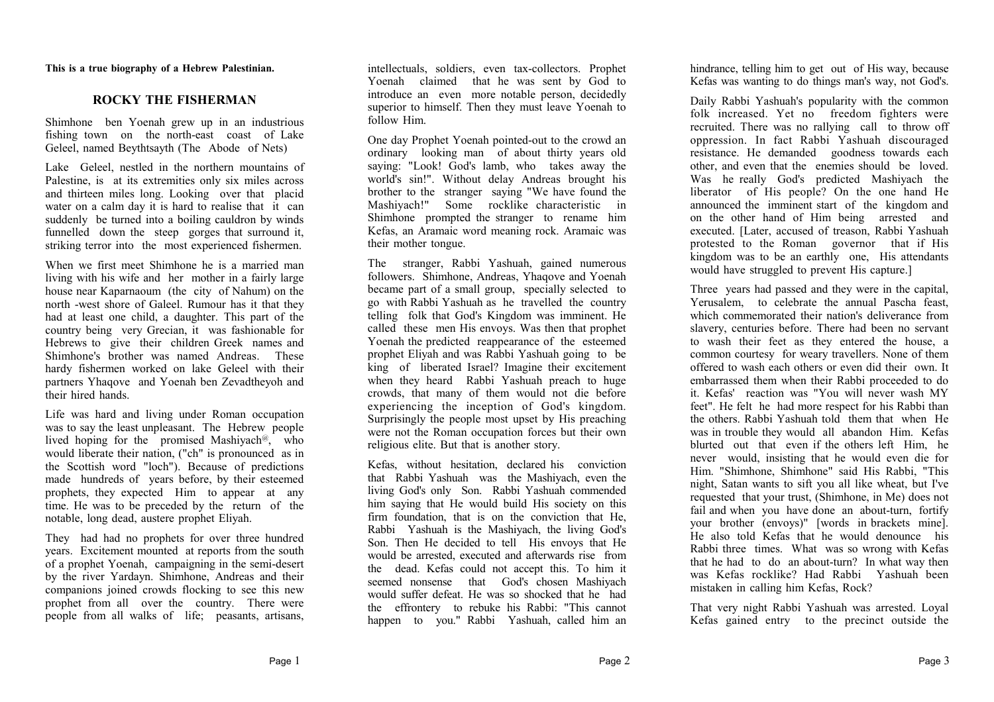**This is a true biography of a Hebrew Palestinian.**

## **ROCKY THE FISHERMAN**

Shimhone ben Yoenah grew up in an industrious fishing town on the north-east coast of Lake Geleel, named Beythtsayth (The Abode of Nets)

Lake Geleel, nestled in the northern mountains of Palestine, is at its extremities only six miles across and thirteen miles long. Looking over that placid water on a calm day it is hard to realise that it can suddenly be turned into a boiling cauldron by winds funnelled down the steep gorges that surround it, striking terror into the most experienced fishermen.

When we first meet Shimhone he is a married man living with his wife and her mother in a fairly large house near Kaparnaoum (the city of Nahum) on the north -west shore of Galeel. Rumour has it that they had at least one child, a daughter. This part of the country being very Grecian, it was fashionable for Hebrews to give their children Greek names and Shimhone's brother was named Andreas. These hardy fishermen worked on lake Geleel with their partners Yhaqove and Yoenah ben Zevadtheyoh and their hired hands.

Life was hard and living under Roman occupation was to say the least unpleasant. The Hebrew people lived hoping for the promised Mashiyach<sup>@</sup>, who would liberate their nation, ("ch" is pronounced as in the Scottish word "loch"). Because of predictions made hundreds of years before, by their esteemed prophets, they expected Him to appear at any time. He was to be preceded by the return of the notable, long dead, austere prophet Eliyah.

They had had no prophets for over three hundred years. Excitement mounted at reports from the south of a prophet Yoenah, campaigning in the semi-desert by the river Yardayn. Shimhone, Andreas and their companions joined crowds flocking to see this new prophet from all over the country. There were people from all walks of life; peasants, artisans,

intellectuals, soldiers, even tax-collectors. Prophet Yoenah claimed that he was sent by God to introduce an even more notable person, decidedly superior to himself. Then they must leave Yoenah to follow Him.

One day Prophet Yoenah pointed-out to the crowd an ordinary looking man of about thirty years old saying: "Look! God's lamb, who takes away the world's sin!". Without delay Andreas brought his brother to the stranger saying "We have found the Mashiyach!" Some rocklike characteristic in Shimhone prompted the stranger to rename him Kefas, an Aramaic word meaning rock. Aramaic was their mother tongue.

The stranger, Rabbi Yashuah, gained numerous followers. Shimhone, Andreas, Yhaqove and Yoenah became part of a small group, specially selected to go with Rabbi Yashuah as he travelled the country telling folk that God's Kingdom was imminent. He called these men His envoys. Was then that prophet Yoenah the predicted reappearance of the esteemed prophet Eliyah and was Rabbi Yashuah going to be king of liberated Israel? Imagine their excitement when they heard Rabbi Yashuah preach to huge crowds, that many of them would not die before experiencing the inception of God's kingdom. Surprisingly the people most upset by His preaching were not the Roman occupation forces but their own religious elite. But that is another story.

Kefas, without hesitation, declared his conviction that Rabbi Yashuah was the Mashiyach, even the living God's only Son. Rabbi Yashuah commended him saying that He would build His society on this firm foundation, that is on the conviction that He, Rabbi Yashuah is the Mashiyach, the living God's Son. Then He decided to tell His envoys that He would be arrested, executed and afterwards rise from the dead. Kefas could not accept this. To him it seemed nonsense that God's chosen Mashiyach would suffer defeat. He was so shocked that he had the effrontery to rebuke his Rabbi: "This cannot happen to you." Rabbi Yashuah, called him an

hindrance, telling him to get out of His way, because Kefas was wanting to do things man's way, not God's.

Daily Rabbi Yashuah's popularity with the common folk increased. Yet no freedom fighters were recruited. There was no rallying call to throw off oppression. In fact Rabbi Yashuah discouraged resistance. He demanded goodness towards each other, and even that the enemies should be loved. Was he really God's predicted Mashiyach the liberator of His people? On the one hand He announced the imminent start of the kingdom and on the other hand of Him being arrested and executed. [Later, accused of treason, Rabbi Yashuah protested to the Roman governor that if His kingdom was to be an earthly one, His attendants would have struggled to prevent His capture.]

Three years had passed and they were in the capital, Yerusalem, to celebrate the annual Pascha feast, which commemorated their nation's deliverance from slavery, centuries before. There had been no servant to wash their feet as they entered the house, a common courtesy for weary travellers. None of them offered to wash each others or even did their own. It embarrassed them when their Rabbi proceeded to do it. Kefas' reaction was "You will never wash MY feet". He felt he had more respect for his Rabbi than the others. Rabbi Yashuah told them that when He was in trouble they would all abandon Him. Kefas blurted out that even if the others left Him, he never would, insisting that he would even die for Him. "Shimhone, Shimhone" said His Rabbi, "This night, Satan wants to sift you all like wheat, but I've requested that your trust, (Shimhone, in Me) does not fail and when you have done an about-turn, fortify your brother (envoys)" [words in brackets mine]. He also told Kefas that he would denounce his Rabbi three times. What was so wrong with Kefas that he had to do an about-turn? In what way then was Kefas rocklike? Had Rabbi Yashuah been mistaken in calling him Kefas, Rock?

That very night Rabbi Yashuah was arrested. Loyal Kefas gained entry to the precinct outside the